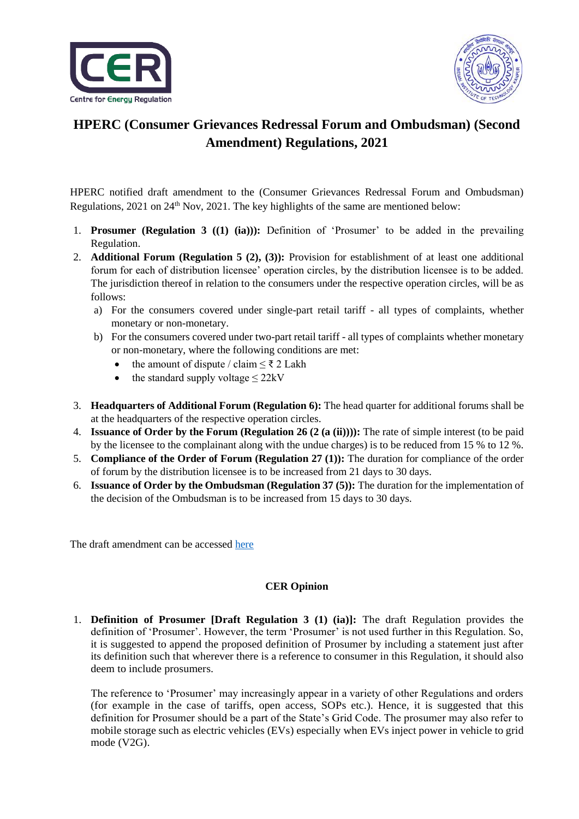



## **HPERC (Consumer Grievances Redressal Forum and Ombudsman) (Second Amendment) Regulations, 2021**

HPERC notified draft amendment to the (Consumer Grievances Redressal Forum and Ombudsman) Regulations, 2021 on 24<sup>th</sup> Nov, 2021. The key highlights of the same are mentioned below:

- 1. **Prosumer (Regulation 3 ((1) (ia))):** Definition of 'Prosumer' to be added in the prevailing Regulation.
- 2. **Additional Forum (Regulation 5 (2), (3)):** Provision for establishment of at least one additional forum for each of distribution licensee' operation circles, by the distribution licensee is to be added. The jurisdiction thereof in relation to the consumers under the respective operation circles, will be as follows:
	- a) For the consumers covered under single-part retail tariff all types of complaints, whether monetary or non-monetary.
	- b) For the consumers covered under two-part retail tariff all types of complaints whether monetary or non-monetary, where the following conditions are met:
		- the amount of dispute / claim  $\leq \xi$  2 Lakh
		- the standard supply voltage  $\leq$  22kV
- 3. **Headquarters of Additional Forum (Regulation 6):** The head quarter for additional forums shall be at the headquarters of the respective operation circles.
- 4. **Issuance of Order by the Forum (Regulation 26 (2 (a (ii)))):** The rate of simple interest (to be paid by the licensee to the complainant along with the undue charges) is to be reduced from 15 % to 12 %.
- 5. **Compliance of the Order of Forum (Regulation 27 (1)):** The duration for compliance of the order of forum by the distribution licensee is to be increased from 21 days to 30 days.
- 6. **Issuance of Order by the Ombudsman (Regulation 37 (5)):** The duration for the implementation of the decision of the Ombudsman is to be increased from 15 days to 30 days.

The draft amendment can be accessed [here](https://cer.iitk.ac.in/odf_assets/upload_files/HPERC_CGRF_Draft_2nd_Amendment_2021.pdf)

## **CER Opinion**

1. **Definition of Prosumer [Draft Regulation 3 (1) (ia)]:** The draft Regulation provides the definition of 'Prosumer'. However, the term 'Prosumer' is not used further in this Regulation. So, it is suggested to append the proposed definition of Prosumer by including a statement just after its definition such that wherever there is a reference to consumer in this Regulation, it should also deem to include prosumers.

The reference to 'Prosumer' may increasingly appear in a variety of other Regulations and orders (for example in the case of tariffs, open access, SOPs etc.). Hence, it is suggested that this definition for Prosumer should be a part of the State's Grid Code. The prosumer may also refer to mobile storage such as electric vehicles (EVs) especially when EVs inject power in vehicle to grid mode (V2G).